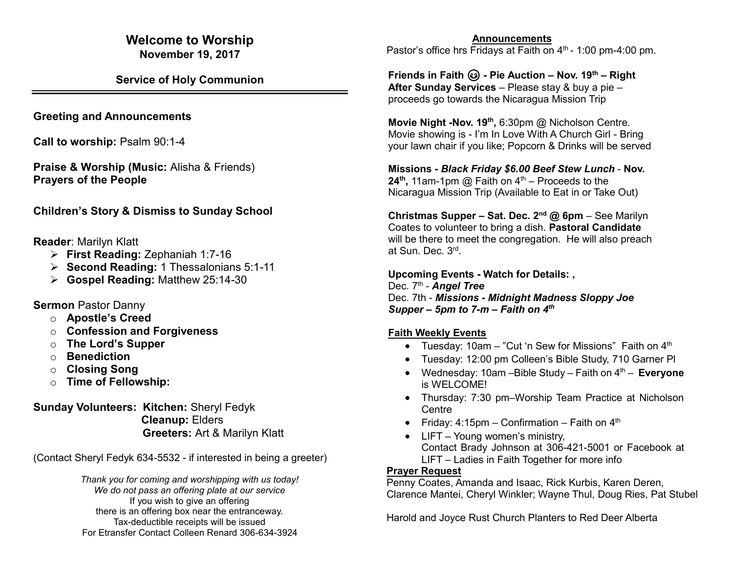### **Welcome to Worship November 19, 2017**

**Service of Holy Communion**

**Greeting and Announcements**

**Call to worship: Psalm 90:1-4** 

**Praise & Worship (Music:** Alisha & Friends) **Prayers of the People**

**Children's Story & Dismiss to Sunday School**

**Reader**: Marilyn Klatt

- ➢ **First Reading:** Zephaniah 1:7-16
- ➢ **Second Reading:** 1 Thessalonians 5:1-11
- ➢ **Gospel Reading:** Matthew 25:14-30

**Sermon** Pastor Danny

- o **Apostle's Creed**
- o **Confession and Forgiveness**
- o **The Lord's Supper**
- o **Benediction**
- o **Closing Song**
- o **Time of Fellowship:**

**Sunday Volunteers: Kitchen:** Sheryl Fedyk **Cleanup:** Elders **Greeters:** Art & Marilyn Klatt

(Contact Sheryl Fedyk 634-5532 - if interested in being a greeter)

*Thank you for coming and worshipping with us today! We do not pass an offering plate at our service* If you wish to give an offering there is an offering box near the entranceway. Tax-deductible receipts will be issued For Etransfer Contact Colleen Renard 306-634-3924

 **Announcements** Pastor's office hrs Fridays at Faith on  $4<sup>th</sup>$  - 1:00 pm-4:00 pm.

**Friends in Faith - Pie Auction – Nov. 19th – Right After Sunday Services** – Please stay & buy a pie – proceeds go towards the Nicaragua Mission Trip

**Movie Night -Nov. 19th ,** 6:30pm @ Nicholson Centre. Movie showing is - I'm In Love With A Church Girl - Bring your lawn chair if you like; Popcorn & Drinks will be served

**Missions** *- Black Friday \$6.00 Beef Stew Lunch* - **Nov. 24<sup>th</sup>, 11am-1pm @ Faith on 4<sup>th</sup> – Proceeds to the** Nicaragua Mission Trip (Available to Eat in or Take Out)

**Christmas Supper – Sat. Dec. 2nd @ 6pm** – See Marilyn Coates to volunteer to bring a dish. **Pastoral Candidate** will be there to meet the congregation. He will also preach at Sun. Dec. 3<sup>rd</sup>.

**Upcoming Events - Watch for Details: ,** Dec. 7<sup>th</sup> - **Angel Tree** Dec. 7th - *Missions - Midnight Madness Sloppy Joe Supper – 5pm to 7-m – Faith on 4th*

## **Faith Weekly Events**

- Tuesday: 10am "Cut 'n Sew for Missions" Faith on  $4<sup>th</sup>$
- Tuesday: 12:00 pm Colleen's Bible Study, 710 Garner Pl
- Wednesday: 10am Bible Study Faith on  $4<sup>th</sup>$  **Everyone** is WELCOME!
- Thursday: 7:30 pm-Worship Team Practice at Nicholson **Centre**
- Friday:  $4:15$ pm Confirmation Faith on  $4<sup>th</sup>$
- LIFT Young women's ministry, Contact Brady Johnson at 306-421-5001 or Facebook at LIFT – Ladies in Faith Together for more info

## **Prayer Request**

Penny Coates, Amanda and Isaac, Rick Kurbis, Karen Deren, Clarence Mantei, Cheryl Winkler; Wayne Thul, Doug Ries, Pat Stubel

Harold and Joyce Rust Church Planters to Red Deer Alberta